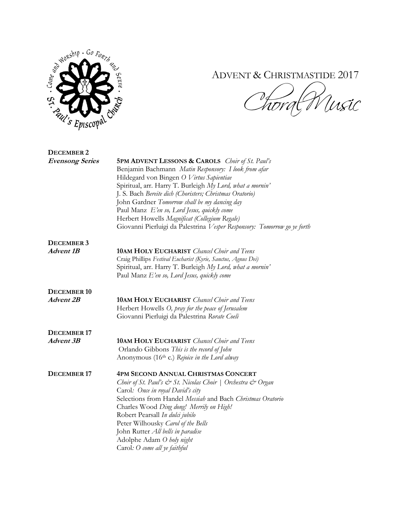

## ADVENT & CHRISTMASTIDE 2017

V Uisic

| DECEMBER 2             |                                                                                                                                                                                                                                                                                                                                                                                                                                                                                                                      |
|------------------------|----------------------------------------------------------------------------------------------------------------------------------------------------------------------------------------------------------------------------------------------------------------------------------------------------------------------------------------------------------------------------------------------------------------------------------------------------------------------------------------------------------------------|
| <b>Evensong Series</b> | <b>5PM ADVENT LESSONS &amp; CAROLS</b> Choir of St. Paul's<br>Benjamin Bachmann Matin Responsory: I look from afar<br>Hildegard von Bingen O Virtus Sapientiae<br>Spiritual, arr. Harry T. Burleigh My Lord, what a mornin'<br>J. S. Bach Bereite dich (Choristers; Christmas Oratorio)<br>John Gardner Tomorrow shall be my dancing day<br>Paul Manz E'en so, Lord Jesus, quickly come<br>Herbert Howells Magnificat (Collegium Regale)<br>Giovanni Pierluigi da Palestrina Vesper Responsory: Tomorrow go ye forth |
| DECEMBER 3             |                                                                                                                                                                                                                                                                                                                                                                                                                                                                                                                      |
| <b>Advent 1B</b>       | <b>10AM HOLY EUCHARIST</b> Chancel Choir and Teens<br>Craig Phillips Festival Eucharist (Kyrie, Sanctus, Agnus Dei)<br>Spiritual, arr. Harry T. Burleigh My Lord, what a mornin'<br>Paul Manz E'en so, Lord Jesus, quickly come                                                                                                                                                                                                                                                                                      |
| DECEMBER 10            |                                                                                                                                                                                                                                                                                                                                                                                                                                                                                                                      |
| <b>Advent 2B</b>       | <b>10AM HOLY EUCHARIST</b> Chancel Choir and Teens<br>Herbert Howells O, pray for the peace of Jerusalem<br>Giovanni Pierluigi da Palestrina Rorate Coeli                                                                                                                                                                                                                                                                                                                                                            |
| DECEMBER <sub>17</sub> |                                                                                                                                                                                                                                                                                                                                                                                                                                                                                                                      |
| Advent 3B              | <b>10AM HOLY EUCHARIST</b> Chancel Choir and Teens<br>Orlando Gibbons This is the record of John<br>Anonymous (16 <sup>th</sup> c.) Rejoice in the Lord alway                                                                                                                                                                                                                                                                                                                                                        |
| DECEMBER 17            | <b>4PM SECOND ANNUAL CHRISTMAS CONCERT</b><br>Choir of St. Paul's & St. Nicolas Choir   Orchestra & Organ<br>Carol: Once in royal David's city<br>Selections from Handel Messiah and Bach Christmas Oratorio<br>Charles Wood Ding dong! Merrily on High!<br>Robert Pearsall In dulci jubilo<br>Peter Wilhousky Carol of the Bells<br>John Rutter All bells in paradise<br>Adolphe Adam O holy night<br>Carol: O come all ye faithful                                                                                 |